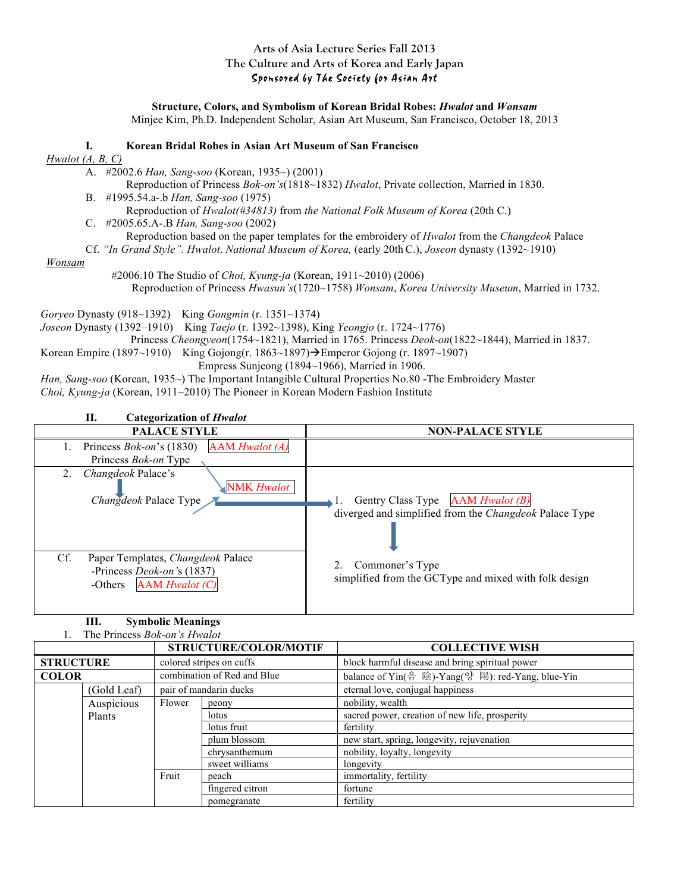## **Arts of Asia Lecture Series Fall 2013 The Culture and Arts of Korea and Early Japan** Sponsored by The Society for Asian Art

**Structure, Colors, and Symbolism of Korean Bridal Robes:** *Hwalot* **and** *Wonsam* Minjee Kim, Ph.D. Independent Scholar, Asian Art Museum, San Francisco, October 18, 2013

### **I. Korean Bridal Robes in Asian Art Museum of San Francisco**

### *Hwalot (A, B, C)*

A. #2002.6 *Han, Sang-soo* (Korean, 1935~) (2001)

- Reproduction of Princess *Bok-on's*(1818~1832) *Hwalot*, Private collection, Married in 1830. B. #1995.54.a-.b *Han, Sang-soo* (1975)
- Reproduction of *Hwalot(#34813)* from *the National Folk Museum of Korea* (20th C.) C. #2005.65.A-.B *Han, Sang-soo* (2002) Reproduction based on the paper templates for the embroidery of *Hwalot* from the *Changdeok* Palace
	- Cf. *"In Grand Style". Hwalot*. *National Museum of Korea,* (early 20th C.), *Joseon* dynasty (1392~1910)

#### *Wonsam*

#2006.10 The Studio of *Choi, Kyung-ja* (Korean, 1911~2010) (2006) Reproduction of Princess *Hwasun's*(1720~1758) *Wonsam*, *Korea University Museum*, Married in 1732.

*Goryeo* Dynasty (918~1392) King *Gongmin* (r. 1351~1374)

*Joseon* Dynasty (1392–1910) King *Taejo* (r. 1392~1398), King *Yeongjo* (r. 1724~1776)

Princess *Cheongyeon*(1754~1821), Married in 1765. Princess *Deok-on*(1822~1844), Married in 1837.

- Korean Empire (1897~1910) King Gojong(r. 1863~1897) $\rightarrow$ Emperor Gojong (r. 1897~1907) Empress Sunjeong (1894~1966), Married in 1906.
- *Han, Sang-soo* (Korean, 1935~) The Important Intangible Cultural Properties No.80 -The Embroidery Master *Choi, Kyung-ja* (Korean, 1911~2010) The Pioneer in Korean Modern Fashion Institute



## **III. Symbolic Meanings**

1. The Princess *Bok-on's Hwalot*

|                  |                                       |                             | STRUCTURE/COLOR/MOTIF | <b>COLLECTIVE WISH</b>                            |
|------------------|---------------------------------------|-----------------------------|-----------------------|---------------------------------------------------|
| <b>STRUCTURE</b> |                                       | colored stripes on cuffs    |                       | block harmful disease and bring spiritual power   |
| <b>COLOR</b>     |                                       | combination of Red and Blue |                       | balance of Yin(음 陰)-Yang(양 陽): red-Yang, blue-Yin |
|                  | pair of mandarin ducks<br>(Gold Leaf) |                             |                       | eternal love, conjugal happiness                  |
|                  | Auspicious                            | Flower                      | peony                 | nobility, wealth                                  |
| Plants           |                                       |                             | lotus                 | sacred power, creation of new life, prosperity    |
|                  |                                       |                             | lotus fruit           | fertility                                         |
|                  |                                       | plum blossom                |                       | new start, spring, longevity, rejuvenation        |
|                  |                                       |                             | chrysanthemum         | nobility, loyalty, longevity                      |
|                  |                                       |                             | sweet williams        | longevity                                         |
|                  |                                       | Fruit                       | peach                 | immortality, fertility                            |
|                  |                                       |                             | fingered citron       | fortune                                           |
|                  |                                       |                             | pomegranate           | fertility                                         |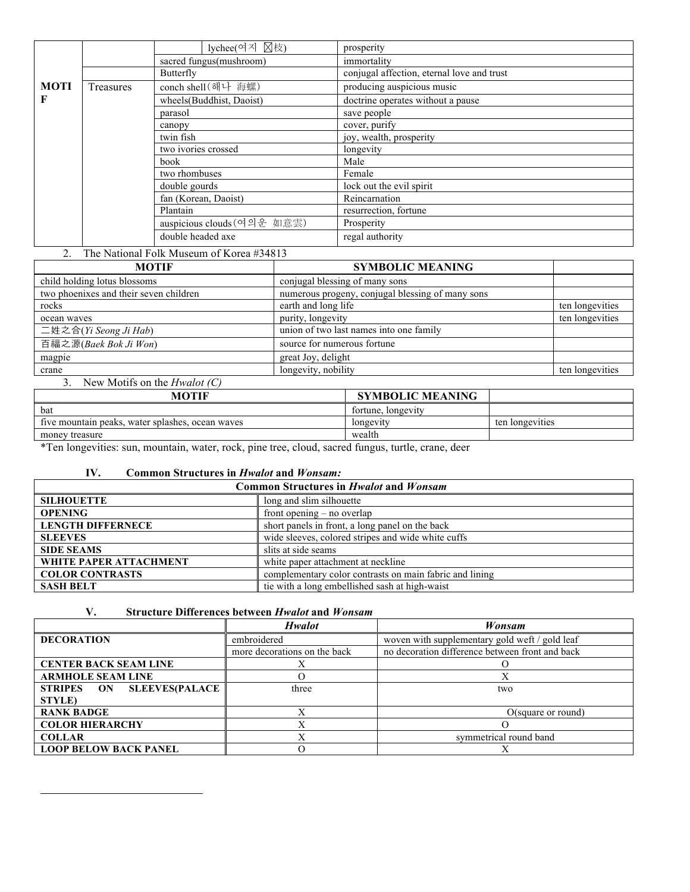|             |           | lychee(여지 図枝)               | prosperity                                 |
|-------------|-----------|-----------------------------|--------------------------------------------|
|             |           | sacred fungus(mushroom)     | immortality                                |
|             |           | Butterfly                   | conjugal affection, eternal love and trust |
| <b>MOTI</b> | Treasures | conch shell (해나 海螺)         | producing auspicious music                 |
| F           |           | wheels (Buddhist, Daoist)   | doctrine operates without a pause          |
|             |           | parasol                     | save people                                |
|             |           | canopy                      | cover, purify                              |
|             |           | twin fish                   | joy, wealth, prosperity                    |
|             |           | two ivories crossed         | longevity                                  |
|             |           | book                        | Male                                       |
|             |           | two rhombuses               | Female                                     |
|             |           | double gourds               | lock out the evil spirit                   |
|             |           | fan (Korean, Daoist)        | Reincarnation                              |
|             |           | Plantain                    | resurrection, fortune                      |
|             |           | auspicious clouds (여의운 如意雲) | Prosperity                                 |
|             |           | double headed axe           | regal authority                            |

## 2. The National Folk Museum of Korea #34813

| <b>MOTIF</b>                           | <b>SYMBOLIC MEANING</b>                          |                 |
|----------------------------------------|--------------------------------------------------|-----------------|
| child holding lotus blossoms           | conjugal blessing of many sons                   |                 |
| two phoenixes and their seven children | numerous progeny, conjugal blessing of many sons |                 |
| rocks                                  | earth and long life                              | ten longevities |
| ocean waves                            | purity, longevity                                | ten longevities |
| 二姓之合(Yi Seong Ji Hab)                  | union of two last names into one family          |                 |
| 百福之源(Baek Bok Ji Won)                  | source for numerous fortune                      |                 |
| magpie                                 | great Joy, delight                               |                 |
| crane                                  | longevity, nobility                              | ten longevities |

### 3. New Motifs on the *Hwalot (C)*

| <b>MOTIF</b>                                     | <b>SYMBOLIC MEANING</b> |                 |
|--------------------------------------------------|-------------------------|-----------------|
| bat                                              | fortune, longevity      |                 |
| five mountain peaks, water splashes, ocean waves | longevity               | ten longevities |
| money treasure                                   | wealth                  |                 |
| 1.777                                            | $\sim$                  |                 |

\*Ten longevities: sun, mountain, water, rock, pine tree, cloud, sacred fungus, turtle, crane, deer

## **IV. Common Structures in** *Hwalot* **and** *Wonsam:*

| <b>Common Structures in Hwalot and Wonsam</b> |                                                         |  |
|-----------------------------------------------|---------------------------------------------------------|--|
| <b>SILHOUETTE</b>                             | long and slim silhouette                                |  |
| <b>OPENING</b>                                | front opening $-$ no overlap                            |  |
| <b>LENGTH DIFFERNECE</b>                      | short panels in front, a long panel on the back         |  |
| <b>SLEEVES</b>                                | wide sleeves, colored stripes and wide white cuffs      |  |
| <b>SIDE SEAMS</b>                             | slits at side seams                                     |  |
| WHITE PAPER ATTACHMENT                        | white paper attachment at neckline                      |  |
| <b>COLOR CONTRASTS</b>                        | complementary color contrasts on main fabric and lining |  |
| <b>SASH BELT</b>                              | tie with a long embellished sash at high-waist          |  |

# **V. Structure Differences between** *Hwalot* **and** *Wonsam*

|                                     | <b>Hwalot</b>                | Wonsam                                          |
|-------------------------------------|------------------------------|-------------------------------------------------|
| <b>DECORATION</b>                   | embroidered                  | woven with supplementary gold weft / gold leaf  |
|                                     | more decorations on the back | no decoration difference between front and back |
| <b>CENTER BACK SEAM LINE</b>        |                              |                                                 |
| <b>ARMHOLE SEAM LINE</b>            |                              |                                                 |
| <b>SLEEVES(PALACE</b><br>STRIPES ON | three                        | two                                             |
| <b>STYLE</b> )                      |                              |                                                 |
| <b>RANK BADGE</b>                   |                              | O(square or round)                              |
| <b>COLOR HIERARCHY</b>              |                              |                                                 |
| <b>COLLAR</b>                       |                              | symmetrical round band                          |
| <b>LOOP BELOW BACK PANEL</b>        |                              |                                                 |